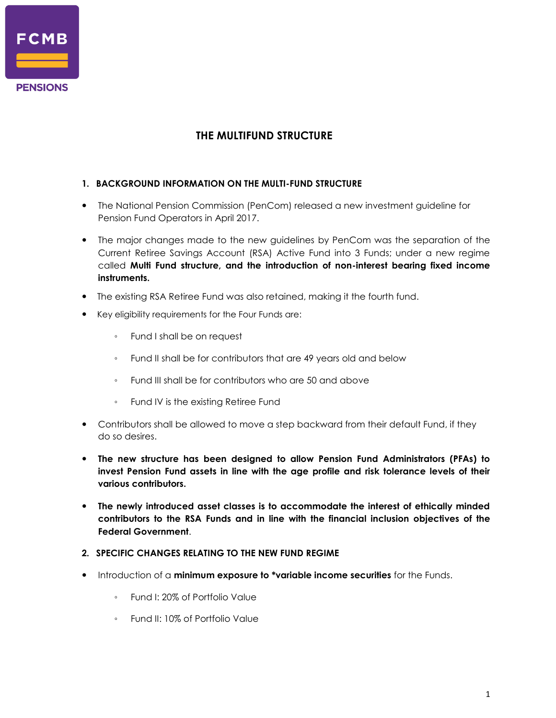

## **THE MULTIFUND STRUCTURE**

- **1. BACKGROUND INFORMATION ON THE MULTI-FUND STRUCTURE**
- The National Pension Commission (PenCom) released a new investment guideline for Pension Fund Operators in April 2017.
- The major changes made to the new guidelines by PenCom was the separation of the Current Retiree Savings Account (RSA) Active Fund into 3 Funds; under a new regime called **Multi Fund structure, and the introduction of non-interest bearing fixed income instruments.**
- The existing RSA Retiree Fund was also retained, making it the fourth fund.
- Key eligibility requirements for the Four Funds are:
	- Fund I shall be on request
	- Fund II shall be for contributors that are 49 years old and below
	- Fund III shall be for contributors who are 50 and above
	- Fund IV is the existing Retiree Fund
- Contributors shall be allowed to move a step backward from their default Fund, if they do so desires.
- **The new structure has been designed to allow Pension Fund Administrators (PFAs) to invest Pension Fund assets in line with the age profile and risk tolerance levels of their various contributors.**
- **The newly introduced asset classes is to accommodate the interest of ethically minded contributors to the RSA Funds and in line with the financial inclusion objectives of the Federal Government**.

## **2. SPECIFIC CHANGES RELATING TO THE NEW FUND REGIME**

- Introduction of a **minimum exposure to \*variable income securities** for the Funds.
	- Fund I: 20% of Portfolio Value
	- Fund II: 10% of Portfolio Value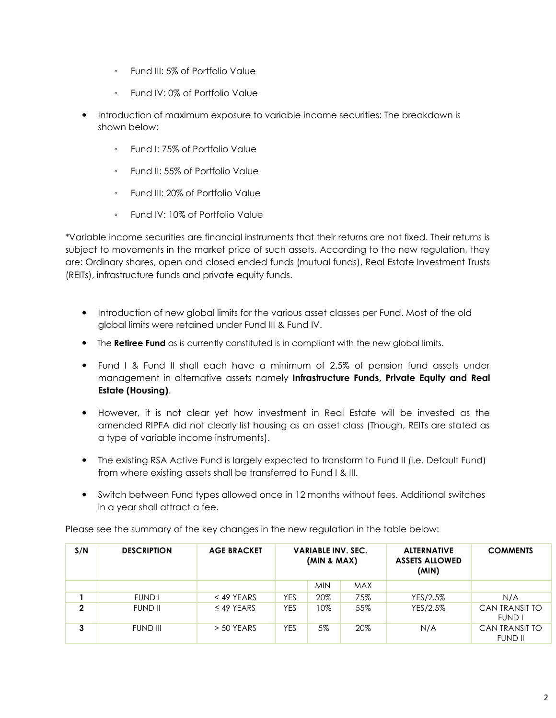- Fund III: 5% of Portfolio Value
- Fund IV: 0% of Portfolio Value
- Introduction of maximum exposure to variable income securities: The breakdown is shown below:
	- Fund I: 75% of Portfolio Value
	- Fund II: 55% of Portfolio Value
	- Fund III: 20% of Portfolio Value
	- Fund IV: 10% of Portfolio Value

\*Variable income securities are financial instruments that their returns are not fixed. Their returns is subject to movements in the market price of such assets. According to the new regulation, they are: Ordinary shares, open and closed ended funds (mutual funds), Real Estate Investment Trusts (REITs), infrastructure funds and private equity funds.

- Introduction of new global limits for the various asset classes per Fund. Most of the old global limits were retained under Fund III & Fund IV.
- **•** The **Retiree Fund** as is currently constituted is in compliant with the new global limits.
- Fund I & Fund II shall each have a minimum of 2.5% of pension fund assets under management in alternative assets namely **Infrastructure Funds, Private Equity and Real Estate (Housing)**.
- However, it is not clear yet how investment in Real Estate will be invested as the amended RIPFA did not clearly list housing as an asset class (Though, REITs are stated as a type of variable income instruments).
- The existing RSA Active Fund is largely expected to transform to Fund II (i.e. Default Fund) from where existing assets shall be transferred to Fund I & III.
- Switch between Fund types allowed once in 12 months without fees. Additional switches in a year shall attract a fee.

| Please see the summary of the key changes in the new regulation in the table below: |  |  |
|-------------------------------------------------------------------------------------|--|--|
|-------------------------------------------------------------------------------------|--|--|

| S/N         | <b>DESCRIPTION</b> | <b>AGE BRACKET</b> | <b>VARIABLE INV. SEC.</b><br>(MIN & MAX) |            |            | <b>ALTERNATIVE</b><br><b>ASSETS ALLOWED</b><br>(MIN) | <b>COMMENTS</b>                        |
|-------------|--------------------|--------------------|------------------------------------------|------------|------------|------------------------------------------------------|----------------------------------------|
|             |                    |                    |                                          | <b>MIN</b> | <b>MAX</b> |                                                      |                                        |
|             | <b>FUND I</b>      | $<$ 49 YEARS       | <b>YES</b>                               | 20%        | 75%        | YES/2.5%                                             | N/A                                    |
| $\mathbf 2$ | <b>FUND II</b>     | $\leq$ 49 YEARS    | YES                                      | 10%        | 55%        | YES/2.5%                                             | <b>CAN TRANSIT TO</b><br><b>FUND I</b> |
| 3           | <b>FUND III</b>    | $>$ 50 YEARS       | YES                                      | 5%         | 20%        | N/A                                                  | CAN TRANSIT TO<br><b>FUND II</b>       |